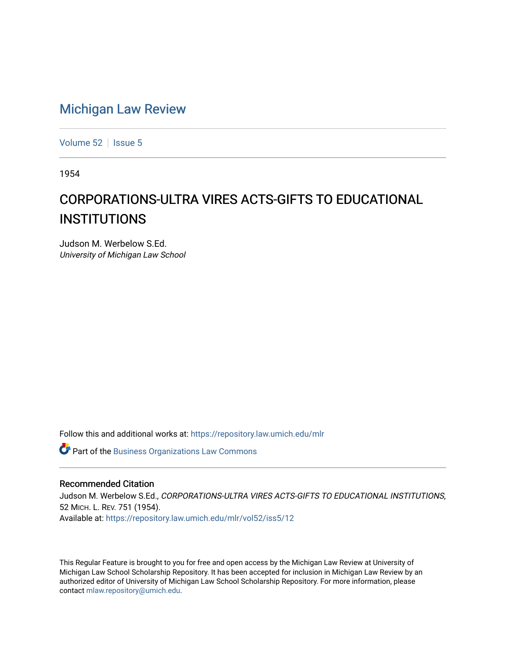## [Michigan Law Review](https://repository.law.umich.edu/mlr)

[Volume 52](https://repository.law.umich.edu/mlr/vol52) | [Issue 5](https://repository.law.umich.edu/mlr/vol52/iss5)

1954

## CORPORATIONS-ULTRA VIRES ACTS-GIFTS TO EDUCATIONAL **INSTITUTIONS**

Judson M. Werbelow S.Ed. University of Michigan Law School

Follow this and additional works at: [https://repository.law.umich.edu/mlr](https://repository.law.umich.edu/mlr?utm_source=repository.law.umich.edu%2Fmlr%2Fvol52%2Fiss5%2F12&utm_medium=PDF&utm_campaign=PDFCoverPages) 

**Part of the [Business Organizations Law Commons](http://network.bepress.com/hgg/discipline/900?utm_source=repository.law.umich.edu%2Fmlr%2Fvol52%2Fiss5%2F12&utm_medium=PDF&utm_campaign=PDFCoverPages)** 

## Recommended Citation

Judson M. Werbelow S.Ed., CORPORATIONS-ULTRA VIRES ACTS-GIFTS TO EDUCATIONAL INSTITUTIONS, 52 MICH. L. REV. 751 (1954). Available at: [https://repository.law.umich.edu/mlr/vol52/iss5/12](https://repository.law.umich.edu/mlr/vol52/iss5/12?utm_source=repository.law.umich.edu%2Fmlr%2Fvol52%2Fiss5%2F12&utm_medium=PDF&utm_campaign=PDFCoverPages) 

This Regular Feature is brought to you for free and open access by the Michigan Law Review at University of Michigan Law School Scholarship Repository. It has been accepted for inclusion in Michigan Law Review by an authorized editor of University of Michigan Law School Scholarship Repository. For more information, please contact [mlaw.repository@umich.edu](mailto:mlaw.repository@umich.edu).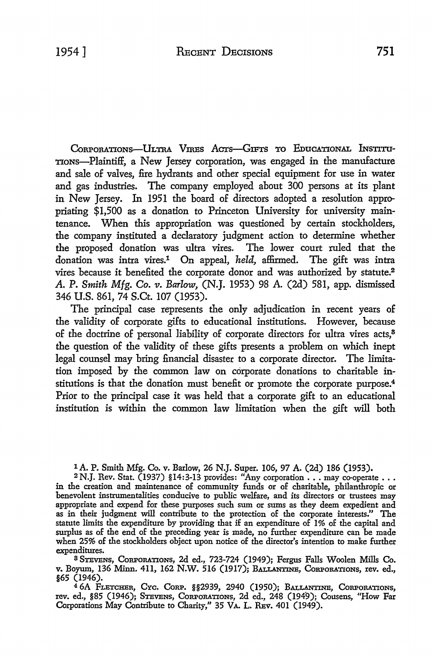CORPORATIONS-ULTRA VIRES ACTS-GIFTS TO EDUCATIONAL INSTITU-TioNs-Plaintiff, a New Jersey corporation, was engaged in the manufacture and sale of valves, fire hydrants and other special equipment for use in water and gas industries. The company employed about 300 persons at its plant in New Jersey. In 1951 the board of directors adopted a resolution appropriating \$1,500 as a donation to Princeton University for university maintenance. When this appropriation was questioned by certain stockholders, the company instituted a declaratory judgment action to determine whether the proposed donation was ultra vires. The lower court ruled that the donation was intra vires.1 On appeal, *held,* affirmed. The gift was intra vires because it benefited the corporate donor and was authorized by statute.<sup>2</sup> *A.* P. *Smith Mfg. Co.* 11. *Barlow,* (N.J. 1953) 98 A. (2d) 581, app. dismissed 346 U.S. 861, 74 S.Ct. 107 (1953).

The principal case represents the only adjudication in recent years of the validity of corporate gifts to educational institutions. However, because of the doctrine of personal liability of corporate directors for ultra vires acts,<sup>8</sup> the question of the validity of these gifts presents a problem on which inept legal counsel may bring financial disaster to a corporate director. The limitation imposed by the common law on corporate donations to charitable institutions is that the donation must benefit or promote the corporate purpose.<sup>4</sup> Prior to the principal case it was held that a corporate gift to an educational institution is within the common law limitation when the gift will both

<sup>1</sup> A. P. Smith Mfg. Co. v. Barlow, 26 N.J. Super. 106, 97 A. (2d) 186 (1953).

2 N.J. Rev. Stat. (1937) §14:3-13 provides: "Any corporation  $\ldots$  may co-operate  $\ldots$ in the creation and maintenance of community funds or of charitable, philanthropic or benevolent instrumentalities conducive to public welfare, and its directors or trustees may appropriate and expend for these purposes such sum or sums as they deem expedient and as in their judgment will contribute to the protection of the corporate interests." The statute limits the expenditure by providing that if an expenditure of 1% of the capital and surplus as of the end of the preceding year is made, no further expenditure can be made when 25% of the stockholders object upon notice of the director's intention to make further expenditures.

<sup>8</sup>ST.EVENS, CoRPORATIONS, 2d ed., 723-724 (1949); Fergus Falls Woolen Mills Co. v. Boyum, 136 Minn. 411, 162 N.w. 516 (1917); BALLANTINE, CORPORATIONS, rev. ed., §65 (1946).

<sup>4</sup>6A FLETCHER, CYc. CoRP. §§2939, 2940 (1950); BALLANTINE, CoRPoRATIONs, rev. ed., §85 (1946); Stevens, Corporations, 2d ed., 248 (1949); Cousens, "How Far Corporations May Contribute to Charity," 35 VA. L. REv. 401 (1949).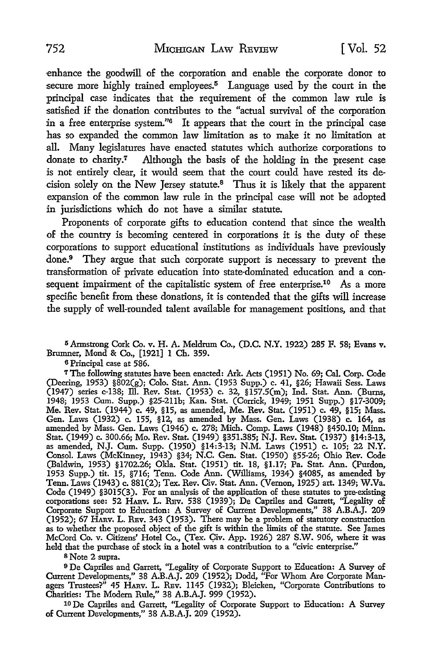enhance the goodwill of the corporation and enable the corporate donor to secure more highly trained employees.<sup>5</sup> Language used by the court in the principal case indicates that the requirement of the common law rule is satisfied if the donation contributes to the "actual survival of the corporation in a free enterprise system."6 It appears that the court in the principal case has so expanded the common law limitation as to make it no limitation at all. Many legislatures have enacted statutes which authorize corporations to donate to charity.7 Although the basis of the holding in the present case is not entirely clear, it would seem that the court could have rested its decision solely on the New Jersey statute.8 Thus it is likely that the apparent expansion of the common law rule in the principal case will not be adopted in jurisdictions which do not have a similar statute.

Proponents of corporate gifts to education contend that since the wealth of the country is becoming centered in corporations it is the duty of these corporations to support educational institutions as individuals have previously done.<sup>9</sup> They argue that such corporate support is necessary to prevent the transformation of private education into state-dominated education and a consequent impairment of the capitalistic system of free enterprise.<sup>10</sup> As a more specific benefit from these donations, it is contended that the gifts will increase the supply of well-rounded talent available for management positions, and that

<sup>5</sup>Armstrong Cork Co. v. H. A. Meldrum Co., (D.C. N.Y. 1922) 285 F. 58; Evans v. Brumner, Mond & Co., [1921] 1 Ch. 359.

<sup>6</sup>Principal case at 586.

<sup>7</sup>The following statutes have been enacted: Ark. Acts (1951) No. 69; Cal. Corp. Code (Deering, 1953) §802(g); Colo. Stat. Ann. (1953 Supp.) c. 41, §26; Hawaii Sess. Laws (1947) series c-138; ill. Rev. Stat. (1953) c. 32, §157.5(m); Ind. Stat. Ann. (Burns, 1948; 1953 Cum. Supp.) §25-2llb; Kan. Stat. (Corrick, 1949; 1951 Supp.) §17-3009; Me. Rev. Stat. (1944) c. 49, §15, as amended, Me. Rev. Stat. (1951) c. 49, §15; Mass. Gen. Laws (1932) c. 155, §12, as amended by Mass. Gen. Laws (1938) c. 164, as amended by Mass. Gen. Laws (1946) c. 278; Mich. Comp. Laws (1948) §450.10; Minn. Stat. (1949) c. 300.66; Mo. Rev. Stat. (1949) §351.385; N.J. Rev. Stat. (1937) §14:3-13, as amended, N.J. Cum. Supp. (1950) §14:3-13; N.M. Laws (1951) c. 105; 22 N.Y. Consol. Laws (McKinney, 1943) §34; N.C. Gen. Stat. (1950) §55-26; Ohio Rev. Code (Baldwin, 1953) §1702.26; Okla. Stat. (1951) tit. 18, §1.17; Pa. Stat. Ann. (Purdon, 1953 Supp.) tit. 15, §716; Tenn. Code Ann. (Williams, 1934) §4085, as amended by Tenn. Laws (1943) c. 881(2); Tex. Rev. Civ. Stat. Ann. (Vernon, 1925) art. 1349; W.Va. Code (1949) §3015(3). For an analysis of the application of these statutes to pre-existing corporations see: 52 HARv. L. Rav. 538 (1939); De Capriles and Garrett, "Legality of Corporate Support to Education: A Survey of Current Developments," 38 A.B.A.J. 209 (1952); 67 HARv. L. Rav. 343 (1953). There may be a problem of statutory construction as to whether the proposed object of the gift is within the limits of the statute. See James McCord Co. v. Citizens' Hotel Co., (Tex. Civ. App. 1926) 287 S.W. 906, where it was held that the purchase of stock in a hotel was a contribution to a "civic enterprise."

s Note 2 supra.

<sup>9</sup>De Capriles and Garrett, "Legality of Corporate Support to Education: A Survey of Current Developments," 38 A.B.A.J. 209 (1952); Dodd, "For Whom Are Corporate Managers Trustees?" 45 HARV. L. REV. 1145 (1932); Bleicken, "Corporate Contributions to Charities: The Modern Rule," 38 A.B.A.J. 999 (1952).

10 De Capriles and Garrett, ''Legality of Corporate Support to Education: A Survey of Current Developments," 38 A.B.A.J. 209 (1952).